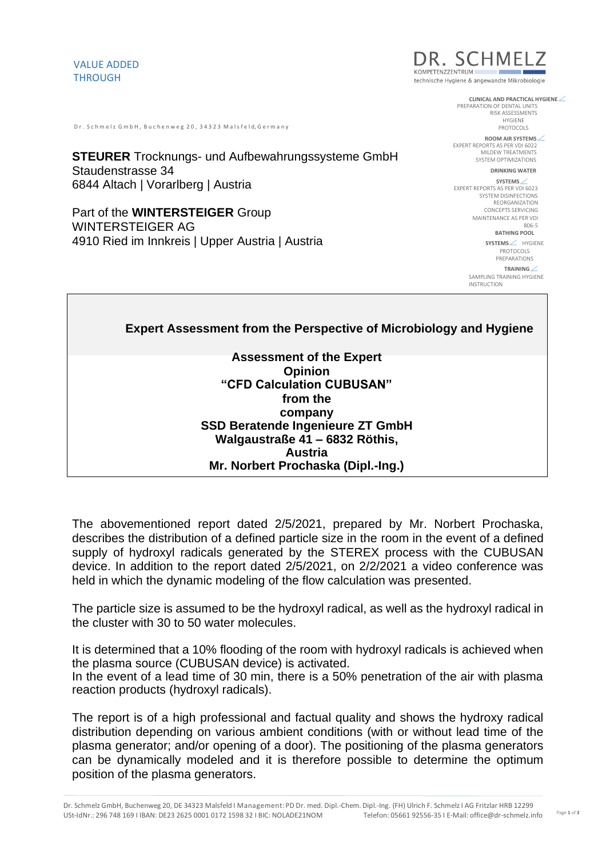## VALUE ADDED THROUGH

Dr. Schmelz GmbH, Buchenweg 20, 34323 Malsfeld Germany

**STEURER** Trocknungs- und Aufbewahrungssysteme GmbH Staudenstrasse 34 6844 Altach | Vorarlberg | Austria

Part of the **WINTERSTEIGER** Group WINTERSTEIGER AG 4910 Ried im Innkreis | Upper Austria | Austria



technische Hygiene & angewandte Mikrobiologie

**CLINICAL AND PRACTICAL HYGIENE**

PREPARATION OF DENTAL UNITS RISK ASSESSMENTS HYGIENE PROTOCOLS

**ROOM AIR SYSTEMS** EXPERT REPORTS AS PER VDI 6022 MILDEW TREATMENTS SYSTEM OPTIMIZATIONS

**DRINKING WATER** 

**SYSTEMS** EXPERT REPORTS AS PER VDI 6023 SYSTEM DISINFECTIONS REORGANIZATION CONCEPTS SERVICING MAINTENANCE AS PER VDI 806-5 **BATHING POOL** 

> **SYSTEMS** / HYGIENE PROTOCOLS PREPARATIONS

**TRAINING**

SAMPLING TRAINING HYGIENE INSTRUCTION

**Expert Assessment from the Perspective of Microbiology and Hygiene Assessment of the Expert Opinion "CFD Calculation CUBUSAN" from the company SSD Beratende Ingenieure ZT GmbH Walgaustraße 41 – 6832 Röthis, Austria Mr. Norbert Prochaska (Dipl.-Ing.)**

The abovementioned report dated 2/5/2021, prepared by Mr. Norbert Prochaska, describes the distribution of a defined particle size in the room in the event of a defined supply of hydroxyl radicals generated by the STEREX process with the CUBUSAN device. In addition to the report dated 2/5/2021, on 2/2/2021 a video conference was held in which the dynamic modeling of the flow calculation was presented.

The particle size is assumed to be the hydroxyl radical, as well as the hydroxyl radical in the cluster with 30 to 50 water molecules.

It is determined that a 10% flooding of the room with hydroxyl radicals is achieved when the plasma source (CUBUSAN device) is activated. In the event of a lead time of 30 min, there is a 50% penetration of the air with plasma reaction products (hydroxyl radicals).

The report is of a high professional and factual quality and shows the hydroxy radical distribution depending on various ambient conditions (with or without lead time of the plasma generator; and/or opening of a door). The positioning of the plasma generators can be dynamically modeled and it is therefore possible to determine the optimum position of the plasma generators.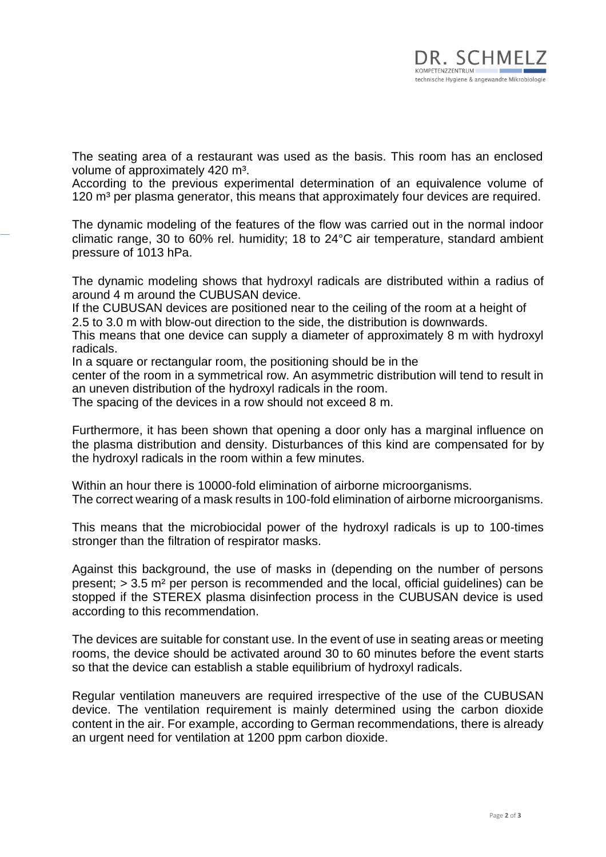The seating area of a restaurant was used as the basis. This room has an enclosed volume of approximately 420 m<sup>3</sup>.

According to the previous experimental determination of an equivalence volume of 120  $m<sup>3</sup>$  per plasma generator, this means that approximately four devices are required.

The dynamic modeling of the features of the flow was carried out in the normal indoor climatic range, 30 to 60% rel. humidity; 18 to 24°C air temperature, standard ambient pressure of 1013 hPa.

The dynamic modeling shows that hydroxyl radicals are distributed within a radius of around 4 m around the CUBUSAN device.

If the CUBUSAN devices are positioned near to the ceiling of the room at a height of 2.5 to 3.0 m with blow-out direction to the side, the distribution is downwards.

This means that one device can supply a diameter of approximately 8 m with hydroxyl radicals.

In a square or rectangular room, the positioning should be in the

center of the room in a symmetrical row. An asymmetric distribution will tend to result in an uneven distribution of the hydroxyl radicals in the room.

The spacing of the devices in a row should not exceed 8 m.

Furthermore, it has been shown that opening a door only has a marginal influence on the plasma distribution and density. Disturbances of this kind are compensated for by the hydroxyl radicals in the room within a few minutes.

Within an hour there is 10000-fold elimination of airborne microorganisms. The correct wearing of a mask results in 100-fold elimination of airborne microorganisms.

This means that the microbiocidal power of the hydroxyl radicals is up to 100-times stronger than the filtration of respirator masks.

Against this background, the use of masks in (depending on the number of persons present; > 3.5 m² per person is recommended and the local, official guidelines) can be stopped if the STEREX plasma disinfection process in the CUBUSAN device is used according to this recommendation.

The devices are suitable for constant use. In the event of use in seating areas or meeting rooms, the device should be activated around 30 to 60 minutes before the event starts so that the device can establish a stable equilibrium of hydroxyl radicals.

Regular ventilation maneuvers are required irrespective of the use of the CUBUSAN device. The ventilation requirement is mainly determined using the carbon dioxide content in the air. For example, according to German recommendations, there is already an urgent need for ventilation at 1200 ppm carbon dioxide.